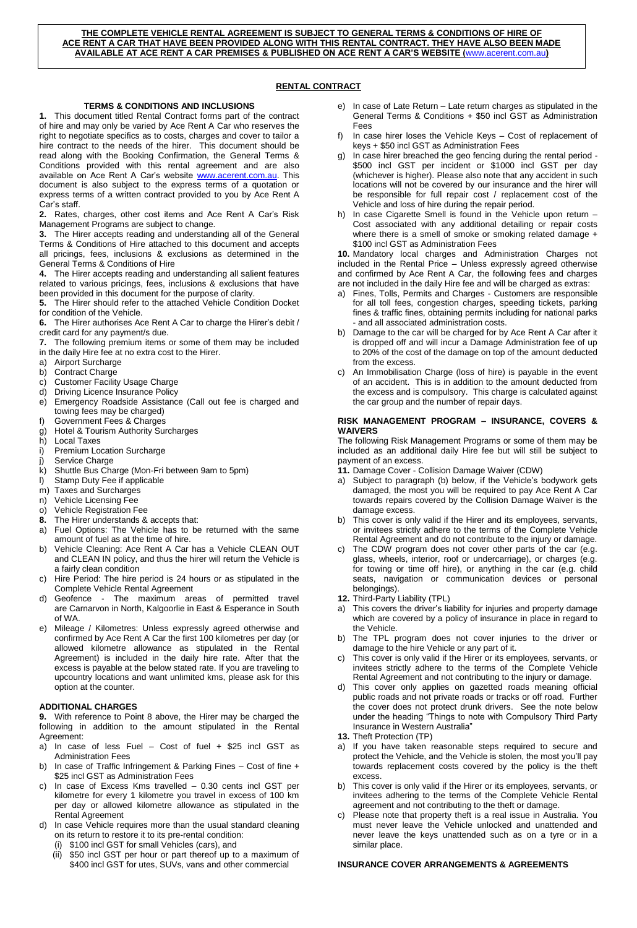**THE COMPLETE VEHICLE RENTAL AGREEMENT IS SUBJECT TO GENERAL TERMS & CONDITIONS OF HIRE OF ACE RENT A CAR THAT HAVE BEEN PROVIDED ALONG WITH THIS RENTAL CONTRACT. THEY HAVE ALSO BEEN MADE AVAILABLE AT ACE RENT A CAR PREMISES & PUBLISHED ON ACE RENT A CAR'S WEBSITE (**[www.acerent.com.au](http://www.acerent.com.au/)**)**

# **RENTAL CONTRACT**

## **TERMS & CONDITIONS AND INCLUSIONS**

**1.** This document titled Rental Contract forms part of the contract of hire and may only be varied by Ace Rent A Car who reserves the right to negotiate specifics as to costs, charges and cover to tailor a hire contract to the needs of the hirer. This document should be read along with the Booking Confirmation, the General Terms & Conditions provided with this rental agreement and are also available on Ace Rent A Car's website [www.acerent.com.au.](http://www.acerent.com.au/) This document is also subject to the express terms of a quotation or express terms of a written contract provided to you by Ace Rent A Car's staff.

**2.** Rates, charges, other cost items and Ace Rent A Car's Risk Management Programs are subject to change.

**3.** The Hirer accepts reading and understanding all of the General Terms & Conditions of Hire attached to this document and accepts all pricings, fees, inclusions & exclusions as determined in the General Terms & Conditions of Hire

**4.** The Hirer accepts reading and understanding all salient features related to various pricings, fees, inclusions & exclusions that have been provided in this document for the purpose of clarity.

**5.** The Hirer should refer to the attached Vehicle Condition Docket for condition of the Vehicle.

**6.** The Hirer authorises Ace Rent A Car to charge the Hirer's debit / credit card for any payment/s due.

**7.** The following premium items or some of them may be included in the daily Hire fee at no extra cost to the Hirer.

- a) Airport Surcharge
- b) Contract Charge
- c) Customer Facility Usage Charge
- d) Driving Licence Insurance Policy
- e) Emergency Roadside Assistance (Call out fee is charged and towing fees may be charged)
- f) Government Fees & Charges
- g) Hotel & Tourism Authority Surcharges<br>h) Local Taxes h) Local Taxes
- 
- i) Premium Location Surcharge
- j) Service Charge
- k) Shuttle Bus Charge (Mon-Fri between 9am to 5pm)
- l) Stamp Duty Fee if applicable
- m) Taxes and Surcharges
- n) Vehicle Licensing Fee
- o) Vehicle Registration Fee<br>8. The Hirer understands &
- **8.** The Hirer understands & accepts that:
- a) Fuel Options: The Vehicle has to be returned with the same amount of fuel as at the time of hire.
- b) Vehicle Cleaning: Ace Rent A Car has a Vehicle CLEAN OUT and CLEAN IN policy, and thus the hirer will return the Vehicle is a fairly clean condition
- c) Hire Period: The hire period is 24 hours or as stipulated in the Complete Vehicle Rental Agreement
- d) Geofence The maximum areas of permitted travel are Carnarvon in North, Kalgoorlie in East & Esperance in South of WA.
- e) Mileage / Kilometres: Unless expressly agreed otherwise and confirmed by Ace Rent A Car the first 100 kilometres per day (or allowed kilometre allowance as stipulated in the Rental Agreement) is included in the daily hire rate. After that the excess is payable at the below stated rate. If you are traveling to upcountry locations and want unlimited kms, please ask for this option at the counter.

# **ADDITIONAL CHARGES**

**9.** With reference to Point 8 above, the Hirer may be charged the following in addition to the amount stipulated in the Rental Agreement:

- a) In case of less Fuel  $-$  Cost of fuel  $+$  \$25 incl GST as Administration Fees
- b) In case of Traffic Infringement & Parking Fines Cost of fine + \$25 incl GST as Administration Fees
- c) In case of Excess Kms travelled 0.30 cents incl GST per kilometre for every 1 kilometre you travel in excess of 100 km per day or allowed kilometre allowance as stipulated in the Rental Agreement
- d) In case Vehicle requires more than the usual standard cleaning on its return to restore it to its pre-rental condition:
	- (i) \$100 incl GST for small Vehicles (cars), and
	- (ii) \$50 incl GST per hour or part thereof up to a maximum of \$400 incl GST for utes, SUVs, vans and other commercial
- e) In case of Late Return Late return charges as stipulated in the General Terms & Conditions + \$50 incl GST as Administration Fees
- f) In case hirer loses the Vehicle Keys Cost of replacement of keys + \$50 incl GST as Administration Fees
- In case hirer breached the geo fencing during the rental period -\$500 incl GST per incident or \$1000 incl GST per day (whichever is higher). Please also note that any accident in such locations will not be covered by our insurance and the hirer will be responsible for full repair cost / replacement cost of the Vehicle and loss of hire during the repair period.
- h) In case Cigarette Smell is found in the Vehicle upon return Cost associated with any additional detailing or repair costs where there is a smell of smoke or smoking related damage + \$100 incl GST as Administration Fees

**10.** Mandatory local charges and Administration Charges not included in the Rental Price – Unless expressly agreed otherwise and confirmed by Ace Rent A Car, the following fees and charges are not included in the daily Hire fee and will be charged as extras:

- a) Fines, Tolls, Permits and Charges Customers are responsible for all toll fees, congestion charges, speeding tickets, parking fines & traffic fines, obtaining permits including for national parks - and all associated administration costs.
- b) Damage to the car will be charged for by Ace Rent A Car after it is dropped off and will incur a Damage Administration fee of up to 20% of the cost of the damage on top of the amount deducted from the excess.
- c) An Immobilisation Charge (loss of hire) is payable in the event of an accident. This is in addition to the amount deducted from the excess and is compulsory. This charge is calculated against the car group and the number of repair days.

## **RISK MANAGEMENT PROGRAM – INSURANCE, COVERS & WAIVERS**

The following Risk Management Programs or some of them may be included as an additional daily Hire fee but will still be subject to payment of an excess.

- **11.** Damage Cover Collision Damage Waiver (CDW)
- a) Subject to paragraph (b) below, if the Vehicle's bodywork gets damaged, the most you will be required to pay Ace Rent A Car towards repairs covered by the Collision Damage Waiver is the damage excess.
- b) This cover is only valid if the Hirer and its employees, servants, or invitees strictly adhere to the terms of the Complete Vehicle Rental Agreement and do not contribute to the injury or damage.
- The CDW program does not cover other parts of the car (e.g. glass, wheels, interior, roof or undercarriage), or charges (e.g. for towing or time off hire), or anything in the car (e.g. child seats, navigation or communication devices or personal belongings).
- **12.** Third-Party Liability (TPL)
- a) This covers the driver's liability for injuries and property damage which are covered by a policy of insurance in place in regard to the Vehicle.
- b) The TPL program does not cover injuries to the driver or damage to the hire Vehicle or any part of it.
- c) This cover is only valid if the Hirer or its employees, servants, or invitees strictly adhere to the terms of the Complete Vehicle Rental Agreement and not contributing to the injury or damage.
- This cover only applies on gazetted roads meaning official public roads and not private roads or tracks or off road. Further the cover does not protect drunk drivers. See the note below under the heading "Things to note with Compulsory Third Party Insurance in Western Australia"
- **13.** Theft Protection (TP)
- a) If you have taken reasonable steps required to secure and protect the Vehicle, and the Vehicle is stolen, the most you'll pay towards replacement costs covered by the policy is the theft excess.
- This cover is only valid if the Hirer or its employees, servants, or invitees adhering to the terms of the Complete Vehicle Rental agreement and not contributing to the theft or damage.
- Please note that property theft is a real issue in Australia. You must never leave the Vehicle unlocked and unattended and never leave the keys unattended such as on a tyre or in a similar place.

## **INSURANCE COVER ARRANGEMENTS & AGREEMENTS**